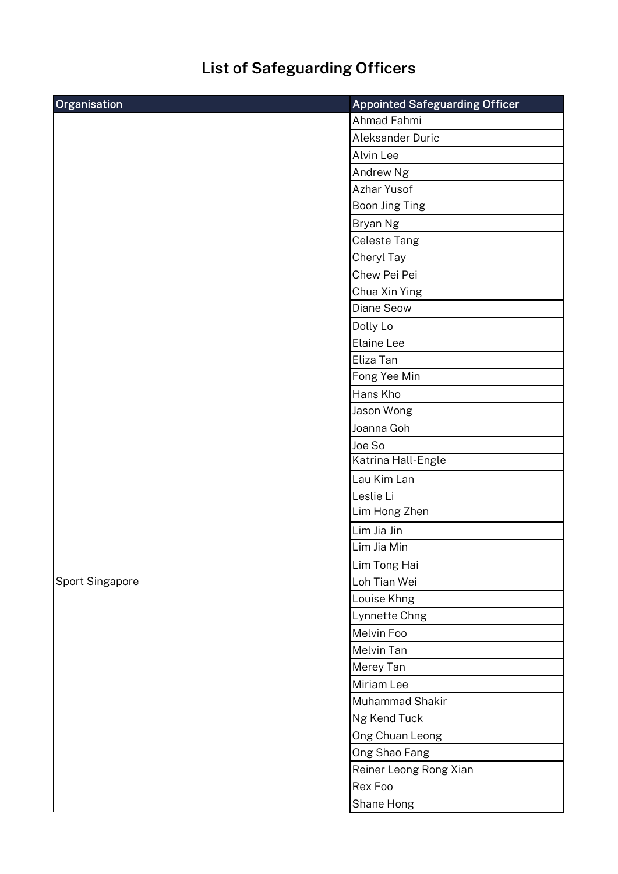## **List of Safeguarding Officers**

| Organisation    | <b>Appointed Safeguarding Officer</b> |
|-----------------|---------------------------------------|
|                 | Ahmad Fahmi                           |
|                 | Aleksander Duric                      |
|                 | Alvin Lee                             |
|                 | Andrew Ng                             |
|                 | Azhar Yusof                           |
|                 | Boon Jing Ting                        |
|                 | Bryan Ng                              |
|                 | Celeste Tang                          |
|                 | Cheryl Tay                            |
|                 | Chew Pei Pei                          |
|                 | Chua Xin Ying                         |
|                 | Diane Seow                            |
|                 | Dolly Lo                              |
|                 | Elaine Lee                            |
|                 | Eliza Tan                             |
|                 | Fong Yee Min                          |
|                 | Hans Kho                              |
|                 | Jason Wong                            |
|                 | Joanna Goh                            |
|                 | Joe So                                |
|                 | Katrina Hall-Engle                    |
|                 | Lau Kim Lan                           |
|                 | Leslie Li                             |
|                 | Lim Hong Zhen                         |
|                 | Lim Jia Jin                           |
|                 | Lim Jia Min                           |
|                 | Lim Tong Hai                          |
| Sport Singapore | Loh Tian Wei                          |
|                 | Louise Khng                           |
|                 | Lynnette Chng                         |
|                 | Melvin Foo                            |
|                 | Melvin Tan                            |
|                 | Merey Tan                             |
|                 | Miriam Lee                            |
|                 | Muhammad Shakir                       |
|                 | Ng Kend Tuck                          |
|                 | Ong Chuan Leong                       |
|                 | Ong Shao Fang                         |
|                 | Reiner Leong Rong Xian                |
|                 | Rex Foo                               |
|                 | Shane Hong                            |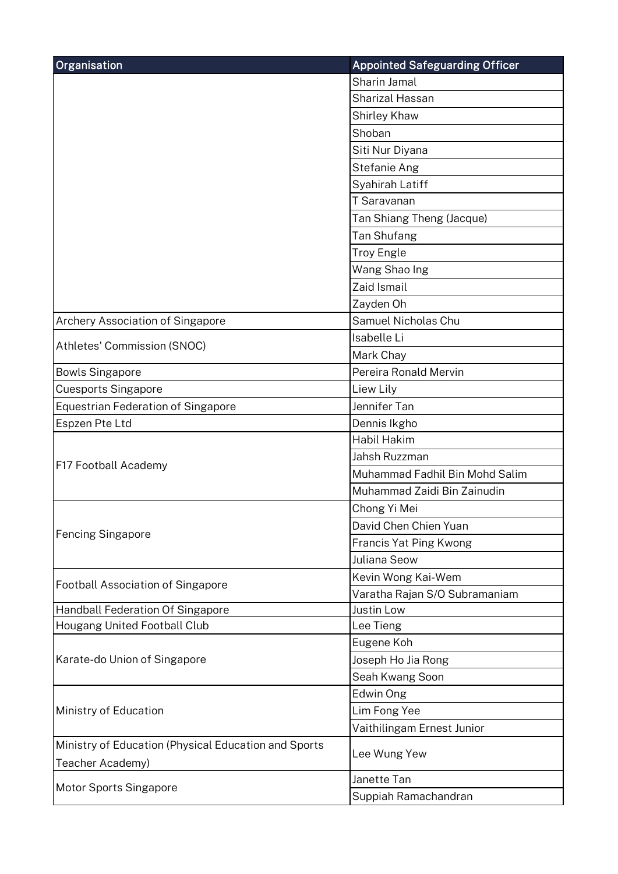| Organisation                                         | <b>Appointed Safeguarding Officer</b> |
|------------------------------------------------------|---------------------------------------|
|                                                      | Sharin Jamal                          |
|                                                      | <b>Sharizal Hassan</b>                |
|                                                      | Shirley Khaw                          |
|                                                      | Shoban                                |
|                                                      | Siti Nur Diyana                       |
|                                                      | Stefanie Ang                          |
|                                                      | Syahirah Latiff                       |
|                                                      | T Saravanan                           |
|                                                      | Tan Shiang Theng (Jacque)             |
|                                                      | Tan Shufang                           |
|                                                      | <b>Troy Engle</b>                     |
|                                                      | Wang Shao Ing                         |
|                                                      | Zaid Ismail                           |
|                                                      | Zayden Oh                             |
| Archery Association of Singapore                     | Samuel Nicholas Chu                   |
|                                                      | Isabelle Li                           |
| Athletes' Commission (SNOC)                          | Mark Chay                             |
| <b>Bowls Singapore</b>                               | Pereira Ronald Mervin                 |
| <b>Cuesports Singapore</b>                           | Liew Lily                             |
| <b>Equestrian Federation of Singapore</b>            | Jennifer Tan                          |
| Espzen Pte Ltd                                       | Dennis Ikgho                          |
|                                                      | <b>Habil Hakim</b>                    |
|                                                      | Jahsh Ruzzman                         |
| F17 Football Academy                                 | Muhammad Fadhil Bin Mohd Salim        |
|                                                      | Muhammad Zaidi Bin Zainudin           |
|                                                      | Chong Yi Mei                          |
|                                                      | David Chen Chien Yuan                 |
| <b>Fencing Singapore</b>                             | Francis Yat Ping Kwong                |
|                                                      | Juliana Seow                          |
|                                                      | Kevin Wong Kai-Wem                    |
| <b>Football Association of Singapore</b>             | Varatha Rajan S/O Subramaniam         |
| Handball Federation Of Singapore                     | Justin Low                            |
| Hougang United Football Club                         | Lee Tieng                             |
| Karate-do Union of Singapore                         | Eugene Koh                            |
|                                                      | Joseph Ho Jia Rong                    |
|                                                      | Seah Kwang Soon                       |
| Ministry of Education                                | Edwin Ong                             |
|                                                      | Lim Fong Yee                          |
|                                                      | Vaithilingam Ernest Junior            |
| Ministry of Education (Physical Education and Sports | Lee Wung Yew                          |
| Teacher Academy)                                     |                                       |
| <b>Motor Sports Singapore</b>                        | Janette Tan                           |
|                                                      | Suppiah Ramachandran                  |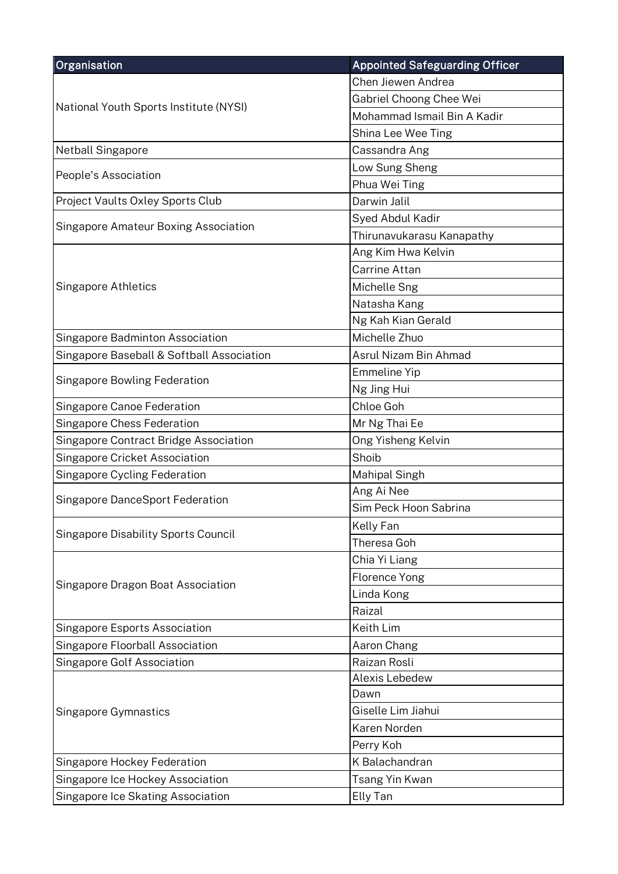| <b>Organisation</b>                         | <b>Appointed Safeguarding Officer</b> |
|---------------------------------------------|---------------------------------------|
| National Youth Sports Institute (NYSI)      | Chen Jiewen Andrea                    |
|                                             | Gabriel Choong Chee Wei               |
|                                             | Mohammad Ismail Bin A Kadir           |
|                                             | Shina Lee Wee Ting                    |
| <b>Netball Singapore</b>                    | Cassandra Ang                         |
|                                             | Low Sung Sheng                        |
| People's Association                        | Phua Wei Ting                         |
| Project Vaults Oxley Sports Club            | Darwin Jalil                          |
|                                             | Syed Abdul Kadir                      |
| <b>Singapore Amateur Boxing Association</b> | Thirunavukarasu Kanapathy             |
|                                             | Ang Kim Hwa Kelvin                    |
|                                             | <b>Carrine Attan</b>                  |
| <b>Singapore Athletics</b>                  | Michelle Sng                          |
|                                             | Natasha Kang                          |
|                                             | Ng Kah Kian Gerald                    |
| Singapore Badminton Association             | Michelle Zhuo                         |
| Singapore Baseball & Softball Association   | Asrul Nizam Bin Ahmad                 |
|                                             | <b>Emmeline Yip</b>                   |
| <b>Singapore Bowling Federation</b>         | Ng Jing Hui                           |
| Singapore Canoe Federation                  | Chloe Goh                             |
| Singapore Chess Federation                  | Mr Ng Thai Ee                         |
| Singapore Contract Bridge Association       | Ong Yisheng Kelvin                    |
| <b>Singapore Cricket Association</b>        | Shoib                                 |
| <b>Singapore Cycling Federation</b>         | Mahipal Singh                         |
| Singapore DanceSport Federation             | Ang Ai Nee                            |
|                                             | Sim Peck Hoon Sabrina                 |
| <b>Singapore Disability Sports Council</b>  | Kelly Fan                             |
|                                             | Theresa Goh                           |
|                                             | Chia Yi Liang                         |
| Singapore Dragon Boat Association           | <b>Florence Yong</b>                  |
|                                             | Linda Kong                            |
|                                             | Raizal                                |
| <b>Singapore Esports Association</b>        | Keith Lim                             |
| Singapore Floorball Association             | Aaron Chang                           |
| Singapore Golf Association                  | Raizan Rosli                          |
|                                             | Alexis Lebedew                        |
| Singapore Gymnastics                        | Dawn                                  |
|                                             | Giselle Lim Jiahui                    |
|                                             | Karen Norden                          |
|                                             | Perry Koh                             |
| Singapore Hockey Federation                 | K Balachandran                        |
| Singapore Ice Hockey Association            | Tsang Yin Kwan                        |
| Singapore Ice Skating Association           | Elly Tan                              |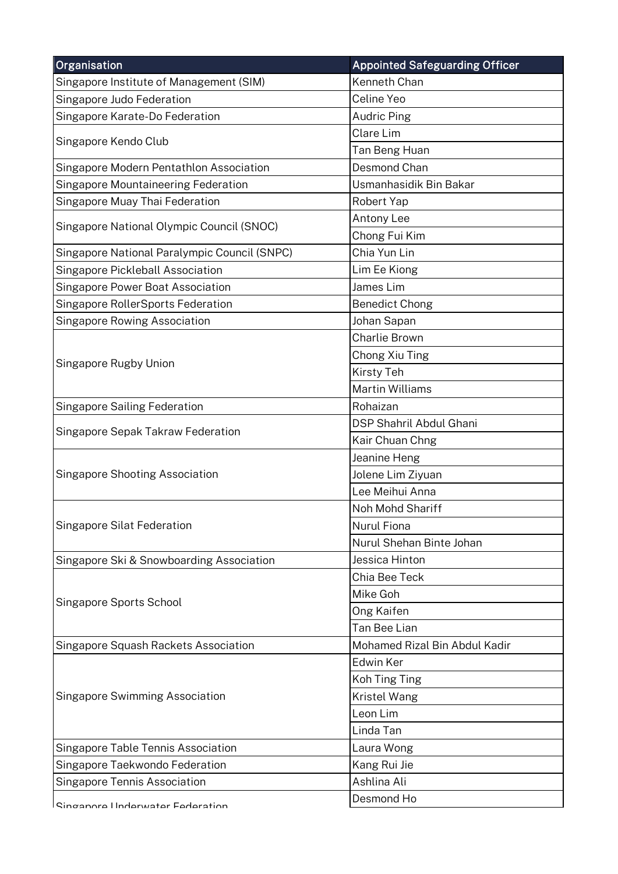| Organisation                                 | <b>Appointed Safeguarding Officer</b> |
|----------------------------------------------|---------------------------------------|
| Singapore Institute of Management (SIM)      | Kenneth Chan                          |
| Singapore Judo Federation                    | Celine Yeo                            |
| Singapore Karate-Do Federation               | <b>Audric Ping</b>                    |
|                                              | Clare Lim                             |
| Singapore Kendo Club                         | Tan Beng Huan                         |
| Singapore Modern Pentathlon Association      | Desmond Chan                          |
| Singapore Mountaineering Federation          | Usmanhasidik Bin Bakar                |
| Singapore Muay Thai Federation               | Robert Yap                            |
|                                              | Antony Lee                            |
| Singapore National Olympic Council (SNOC)    | Chong Fui Kim                         |
| Singapore National Paralympic Council (SNPC) | Chia Yun Lin                          |
| Singapore Pickleball Association             | Lim Ee Kiong                          |
| Singapore Power Boat Association             | James Lim                             |
| Singapore RollerSports Federation            | <b>Benedict Chong</b>                 |
| <b>Singapore Rowing Association</b>          | Johan Sapan                           |
|                                              | Charlie Brown                         |
| Singapore Rugby Union                        | Chong Xiu Ting                        |
|                                              | <b>Kirsty Teh</b>                     |
|                                              | <b>Martin Williams</b>                |
| <b>Singapore Sailing Federation</b>          | Rohaizan                              |
| Singapore Sepak Takraw Federation            | <b>DSP Shahril Abdul Ghani</b>        |
|                                              | Kair Chuan Chng                       |
|                                              | Jeanine Heng                          |
| <b>Singapore Shooting Association</b>        | Jolene Lim Ziyuan                     |
|                                              | Lee Meihui Anna                       |
|                                              | Noh Mohd Shariff                      |
| Singapore Silat Federation                   | <b>Nurul Fiona</b>                    |
|                                              | Nurul Shehan Binte Johan              |
| Singapore Ski & Snowboarding Association     | Jessica Hinton                        |
|                                              | Chia Bee Teck                         |
|                                              | Mike Goh                              |
| Singapore Sports School                      | Ong Kaifen                            |
|                                              | Tan Bee Lian                          |
| Singapore Squash Rackets Association         | Mohamed Rizal Bin Abdul Kadir         |
|                                              | Edwin Ker                             |
|                                              | Koh Ting Ting                         |
| <b>Singapore Swimming Association</b>        | Kristel Wang                          |
|                                              | Leon Lim                              |
|                                              | Linda Tan                             |
| Singapore Table Tennis Association           | Laura Wong                            |
| Singapore Taekwondo Federation               | Kang Rui Jie                          |
| <b>Singapore Tennis Association</b>          | Ashlina Ali                           |
| Cingonora Underwater Eederation              | Desmond Ho                            |